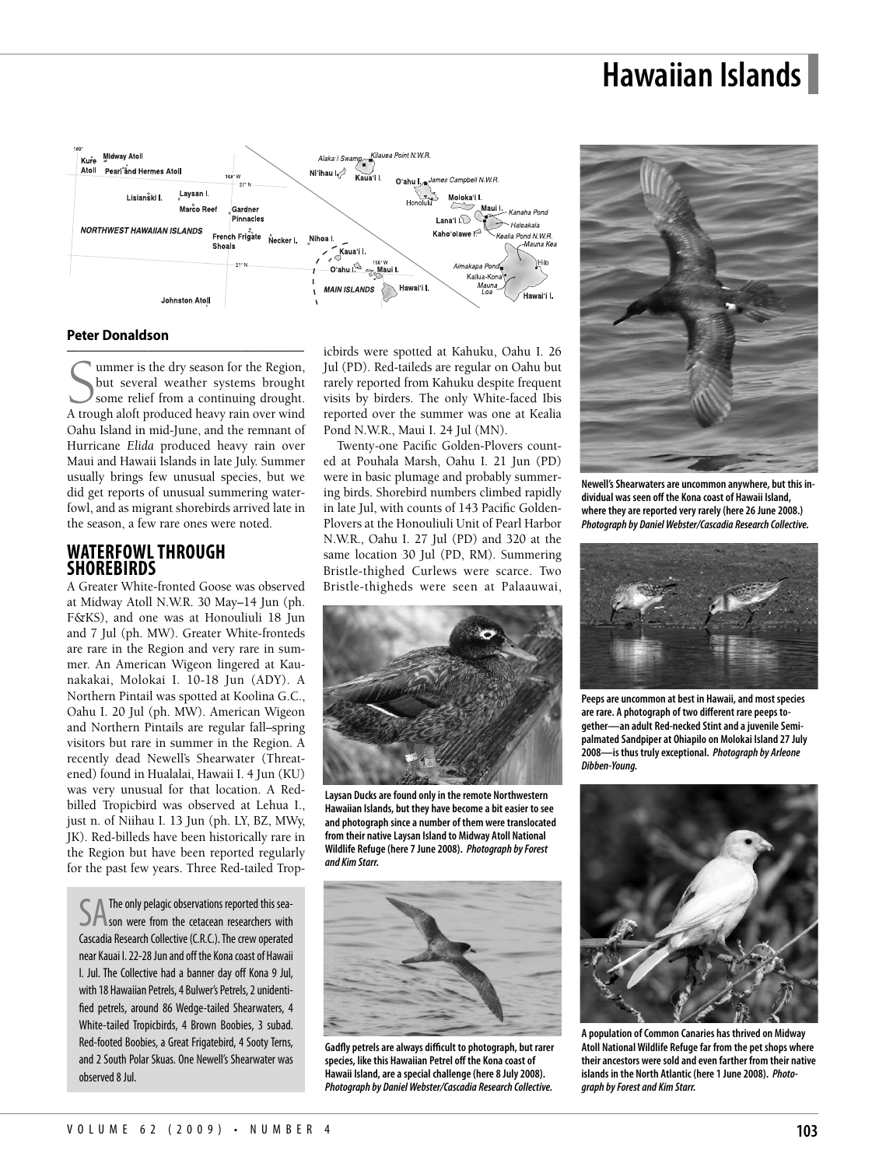# **Hawaiian Islands**



#### **Peter Donaldson**

–––––––––––––––––––––––––––––––––––––– Summer is the dry season for the Region,<br>but several weather systems brought<br>Some relief from a continuing drought.<br>A trough aloft produced heavy rain over wind ummer is the dry season for the Region, but several weather systems brought some relief from a continuing drought. Oahu Island in mid-June, and the remnant of Hurricane *Elida* produced heavy rain over Maui and Hawaii Islands in late July. Summer usually brings few unusual species, but we did get reports of unusual summering waterfowl, and as migrant shorebirds arrived late in the season, a few rare ones were noted.

### **WATERFOWLTHROUGH SHOREBIRDS**

A Greater White-fronted Goose was observed at Midway Atoll N.W.R. 30 May–14 Jun (ph. F&KS), and one was at Honouliuli 18 Jun and 7 Jul (ph. MW). Greater White-fronteds are rare in the Region and very rare in summer. An American Wigeon lingered at Kaunakakai, Molokai I. 10-18 Jun (ADY). A Northern Pintail was spotted at Koolina G.C., Oahu I. 20 Jul (ph. MW). American Wigeon and Northern Pintails are regular fall–spring visitors but rare in summer in the Region. A recently dead Newell's Shearwater (Threatened) found in Hualalai, Hawaii I. 4 Jun (KU) was very unusual for that location. A Redbilled Tropicbird was observed at Lehua I., just n. of Niihau I. 13 Jun (ph. LY, BZ, MWy, JK). Red-billeds have been historically rare in the Region but have been reported regularly for the past few years. Three Red-tailed Trop-

SA The only pelagic observations reported this sea-<br>SA son were from the cetacean researchers with The only pelagic observations reported this sea-Cascadia Research Collective (C.R.C.). The crew operated near Kauai I. 22-28 Jun and off the Kona coast of Hawaii I. Jul. The Collective had a banner day off Kona 9 Jul, with 18 Hawaiian Petrels, 4 Bulwer's Petrels, 2 unidentified petrels, around 86 Wedge-tailed Shearwaters, 4 White-tailed Tropicbirds, 4 Brown Boobies, 3 subad. Red-footed Boobies, a Great Frigatebird, 4 Sooty Terns, and 2 South Polar Skuas. One Newell's Shearwater was observed 8 Jul.

icbirds were spotted at Kahuku, Oahu I. 26 Jul (PD). Red-taileds are regular on Oahu but rarely reported from Kahuku despite frequent visits by birders. The only White-faced Ibis reported over the summer was one at Kealia Pond N.W.R., Maui I. 24 Jul (MN).

Twenty-one Pacific Golden-Plovers counted at Pouhala Marsh, Oahu I. 21 Jun (PD) were in basic plumage and probably summering birds. Shorebird numbers climbed rapidly in late Jul, with counts of 143 Pacific Golden-Plovers at the Honouliuli Unit of Pearl Harbor N.W.R., Oahu I. 27 Jul (PD) and 320 at the same location 30 Jul (PD, RM). Summering Bristle-thighed Curlews were scarce. Two Bristle-thigheds were seen at Palaauwai,



**Laysan Ducksarefound onlyin theremote Northwestern Hawaiian Islands, but they have becomea biteasier to see and photograph sincea number of them weretranslocated from their nativeLaysan Island to Midway Atoll National Wildlife Refuge(here June 2008).** *Photograph byForest and Kim Starr.*



**GadMy petrelsarealways difficult to photograph, but rarer species, likethis Hawaiian Petrel off the Konacoast of Hawaii Island,areaspecial challenge(here 8 July 2008).** *Photograph by DanielWebster/Cascadia Research Collective.*



**Newell'sShearwatersare uncommon anywhere, but this individual was seen off the Konacoast of Hawaii Island, where they are reported very rarely (here 26 June 2008.)** *Photograph by DanielWebster/Cascadia Research Collective.*



**Peepsare uncommon at best in Hawaii,and most species arerare. A photograph of two different rare peeps to**gether-an adult Red-necked Stint and a juvenile Semi**palmated Sandpiperat Ohiapilo on Molokai Island 2 July 2008—is thus trulyexceptional.** *Photograph by Arleone Dibben-Young.*



**A population ofCommon Canaries has thrived on Midway Atoll NationalWildlife Refugefar from the pet shops where theirancestors weresold and even farther from their native islands in the North Atlantic (here 1 June 2008).** *Photograph byForest and Kim Starr.*